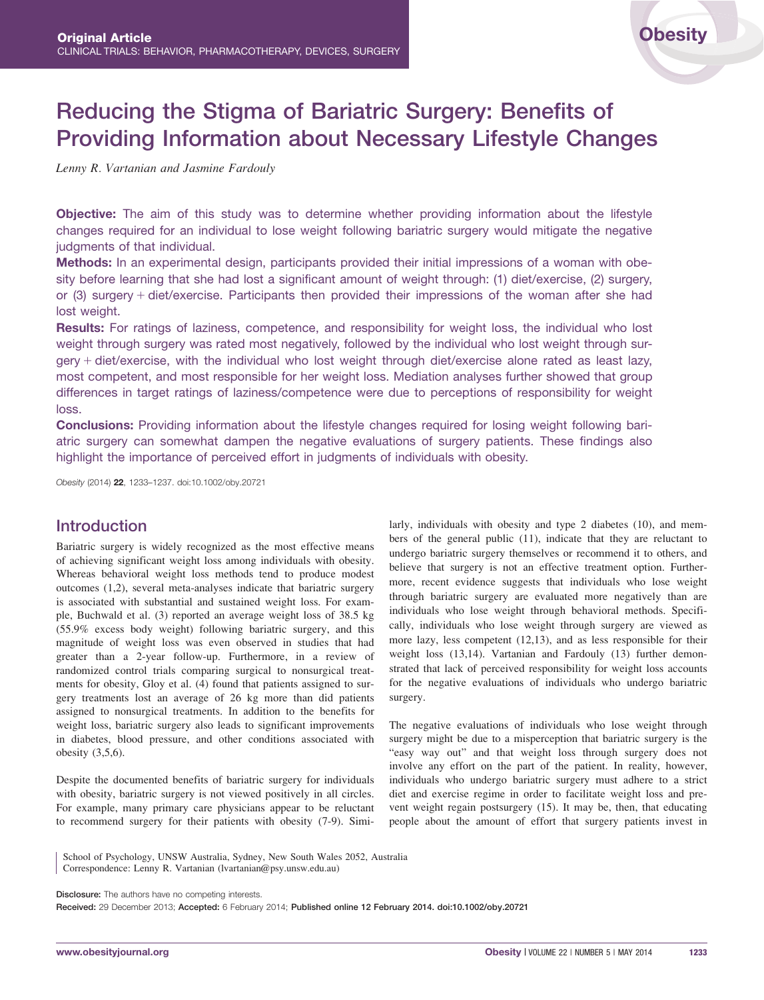# Reducing the Stigma of Bariatric Surgery: Benefits of Providing Information about Necessary Lifestyle Changes

Lenny R. Vartanian and Jasmine Fardouly

Objective: The aim of this study was to determine whether providing information about the lifestyle changes required for an individual to lose weight following bariatric surgery would mitigate the negative judgments of that individual.

Methods: In an experimental design, participants provided their initial impressions of a woman with obesity before learning that she had lost a significant amount of weight through: (1) diet/exercise, (2) surgery, or (3) surgery  $+$  diet/exercise. Participants then provided their impressions of the woman after she had lost weight.

Results: For ratings of laziness, competence, and responsibility for weight loss, the individual who lost weight through surgery was rated most negatively, followed by the individual who lost weight through surgery  $+$  diet/exercise, with the individual who lost weight through diet/exercise alone rated as least lazy, most competent, and most responsible for her weight loss. Mediation analyses further showed that group differences in target ratings of laziness/competence were due to perceptions of responsibility for weight loss.

Conclusions: Providing information about the lifestyle changes required for losing weight following bariatric surgery can somewhat dampen the negative evaluations of surgery patients. These findings also highlight the importance of perceived effort in judgments of individuals with obesity.

Obesity (2014) 22, 1233–1237. doi:10.1002/oby.20721

# Introduction

Bariatric surgery is widely recognized as the most effective means of achieving significant weight loss among individuals with obesity. Whereas behavioral weight loss methods tend to produce modest outcomes (1,2), several meta-analyses indicate that bariatric surgery is associated with substantial and sustained weight loss. For example, Buchwald et al. (3) reported an average weight loss of 38.5 kg (55.9% excess body weight) following bariatric surgery, and this magnitude of weight loss was even observed in studies that had greater than a 2-year follow-up. Furthermore, in a review of randomized control trials comparing surgical to nonsurgical treatments for obesity, Gloy et al. (4) found that patients assigned to surgery treatments lost an average of 26 kg more than did patients assigned to nonsurgical treatments. In addition to the benefits for weight loss, bariatric surgery also leads to significant improvements in diabetes, blood pressure, and other conditions associated with obesity (3,5,6).

Despite the documented benefits of bariatric surgery for individuals with obesity, bariatric surgery is not viewed positively in all circles. For example, many primary care physicians appear to be reluctant to recommend surgery for their patients with obesity (7-9). Similarly, individuals with obesity and type 2 diabetes (10), and members of the general public (11), indicate that they are reluctant to undergo bariatric surgery themselves or recommend it to others, and believe that surgery is not an effective treatment option. Furthermore, recent evidence suggests that individuals who lose weight through bariatric surgery are evaluated more negatively than are individuals who lose weight through behavioral methods. Specifically, individuals who lose weight through surgery are viewed as more lazy, less competent (12,13), and as less responsible for their weight loss (13,14). Vartanian and Fardouly (13) further demonstrated that lack of perceived responsibility for weight loss accounts for the negative evaluations of individuals who undergo bariatric surgery.

The negative evaluations of individuals who lose weight through surgery might be due to a misperception that bariatric surgery is the "easy way out" and that weight loss through surgery does not involve any effort on the part of the patient. In reality, however, individuals who undergo bariatric surgery must adhere to a strict diet and exercise regime in order to facilitate weight loss and prevent weight regain postsurgery (15). It may be, then, that educating people about the amount of effort that surgery patients invest in

School of Psychology, UNSW Australia, Sydney, New South Wales 2052, Australia Correspondence: Lenny R. Vartanian (lvartanian@psy.unsw.edu.au)

Disclosure: The authors have no competing interests.

Received: 29 December 2013; Accepted: 6 February 2014; Published online 12 February 2014. doi:10.1002/oby.20721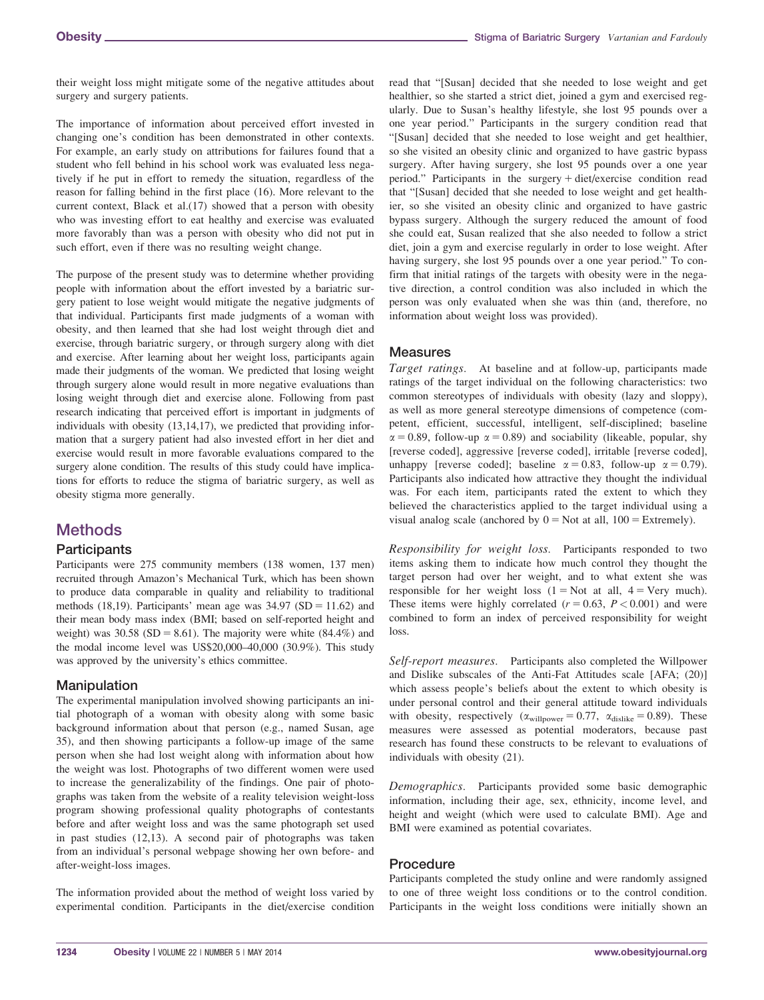their weight loss might mitigate some of the negative attitudes about surgery and surgery patients.

The importance of information about perceived effort invested in changing one's condition has been demonstrated in other contexts. For example, an early study on attributions for failures found that a student who fell behind in his school work was evaluated less negatively if he put in effort to remedy the situation, regardless of the reason for falling behind in the first place (16). More relevant to the current context, Black et al.(17) showed that a person with obesity who was investing effort to eat healthy and exercise was evaluated more favorably than was a person with obesity who did not put in such effort, even if there was no resulting weight change.

The purpose of the present study was to determine whether providing people with information about the effort invested by a bariatric surgery patient to lose weight would mitigate the negative judgments of that individual. Participants first made judgments of a woman with obesity, and then learned that she had lost weight through diet and exercise, through bariatric surgery, or through surgery along with diet and exercise. After learning about her weight loss, participants again made their judgments of the woman. We predicted that losing weight through surgery alone would result in more negative evaluations than losing weight through diet and exercise alone. Following from past research indicating that perceived effort is important in judgments of individuals with obesity (13,14,17), we predicted that providing information that a surgery patient had also invested effort in her diet and exercise would result in more favorable evaluations compared to the surgery alone condition. The results of this study could have implications for efforts to reduce the stigma of bariatric surgery, as well as obesity stigma more generally.

# **Methods**

## **Participants**

Participants were 275 community members (138 women, 137 men) recruited through Amazon's Mechanical Turk, which has been shown to produce data comparable in quality and reliability to traditional methods  $(18,19)$ . Participants' mean age was  $34.97$  (SD = 11.62) and their mean body mass index (BMI; based on self-reported height and weight) was  $30.58$  (SD = 8.61). The majority were white (84.4%) and the modal income level was US\$20,000–40,000 (30.9%). This study was approved by the university's ethics committee.

# Manipulation

The experimental manipulation involved showing participants an initial photograph of a woman with obesity along with some basic background information about that person (e.g., named Susan, age 35), and then showing participants a follow-up image of the same person when she had lost weight along with information about how the weight was lost. Photographs of two different women were used to increase the generalizability of the findings. One pair of photographs was taken from the website of a reality television weight-loss program showing professional quality photographs of contestants before and after weight loss and was the same photograph set used in past studies (12,13). A second pair of photographs was taken from an individual's personal webpage showing her own before- and after-weight-loss images.

The information provided about the method of weight loss varied by experimental condition. Participants in the diet/exercise condition read that "[Susan] decided that she needed to lose weight and get healthier, so she started a strict diet, joined a gym and exercised regularly. Due to Susan's healthy lifestyle, she lost 95 pounds over a one year period." Participants in the surgery condition read that "[Susan] decided that she needed to lose weight and get healthier, so she visited an obesity clinic and organized to have gastric bypass surgery. After having surgery, she lost 95 pounds over a one year period." Participants in the surgery  $+$  diet/exercise condition read that "[Susan] decided that she needed to lose weight and get healthier, so she visited an obesity clinic and organized to have gastric bypass surgery. Although the surgery reduced the amount of food she could eat, Susan realized that she also needed to follow a strict diet, join a gym and exercise regularly in order to lose weight. After having surgery, she lost 95 pounds over a one year period." To confirm that initial ratings of the targets with obesity were in the negative direction, a control condition was also included in which the person was only evaluated when she was thin (and, therefore, no information about weight loss was provided).

# Measures

Target ratings. At baseline and at follow-up, participants made ratings of the target individual on the following characteristics: two common stereotypes of individuals with obesity (lazy and sloppy), as well as more general stereotype dimensions of competence (competent, efficient, successful, intelligent, self-disciplined; baseline  $\alpha = 0.89$ , follow-up  $\alpha = 0.89$ ) and sociability (likeable, popular, shy [reverse coded], aggressive [reverse coded], irritable [reverse coded], unhappy [reverse coded]; baseline  $\alpha = 0.83$ , follow-up  $\alpha = 0.79$ ). Participants also indicated how attractive they thought the individual was. For each item, participants rated the extent to which they believed the characteristics applied to the target individual using a visual analog scale (anchored by  $0 = Not$  at all,  $100 = Extremely$ ).

Responsibility for weight loss. Participants responded to two items asking them to indicate how much control they thought the target person had over her weight, and to what extent she was responsible for her weight loss  $(1 = Not at all, 4 = Very much)$ . These items were highly correlated  $(r = 0.63, P < 0.001)$  and were combined to form an index of perceived responsibility for weight loss.

Self-report measures. Participants also completed the Willpower and Dislike subscales of the Anti-Fat Attitudes scale [AFA; (20)] which assess people's beliefs about the extent to which obesity is under personal control and their general attitude toward individuals with obesity, respectively  $(\alpha_{\text{willpower}} = 0.77, \alpha_{\text{dislike}} = 0.89)$ . These measures were assessed as potential moderators, because past research has found these constructs to be relevant to evaluations of individuals with obesity (21).

Demographics. Participants provided some basic demographic information, including their age, sex, ethnicity, income level, and height and weight (which were used to calculate BMI). Age and BMI were examined as potential covariates.

## Procedure

Participants completed the study online and were randomly assigned to one of three weight loss conditions or to the control condition. Participants in the weight loss conditions were initially shown an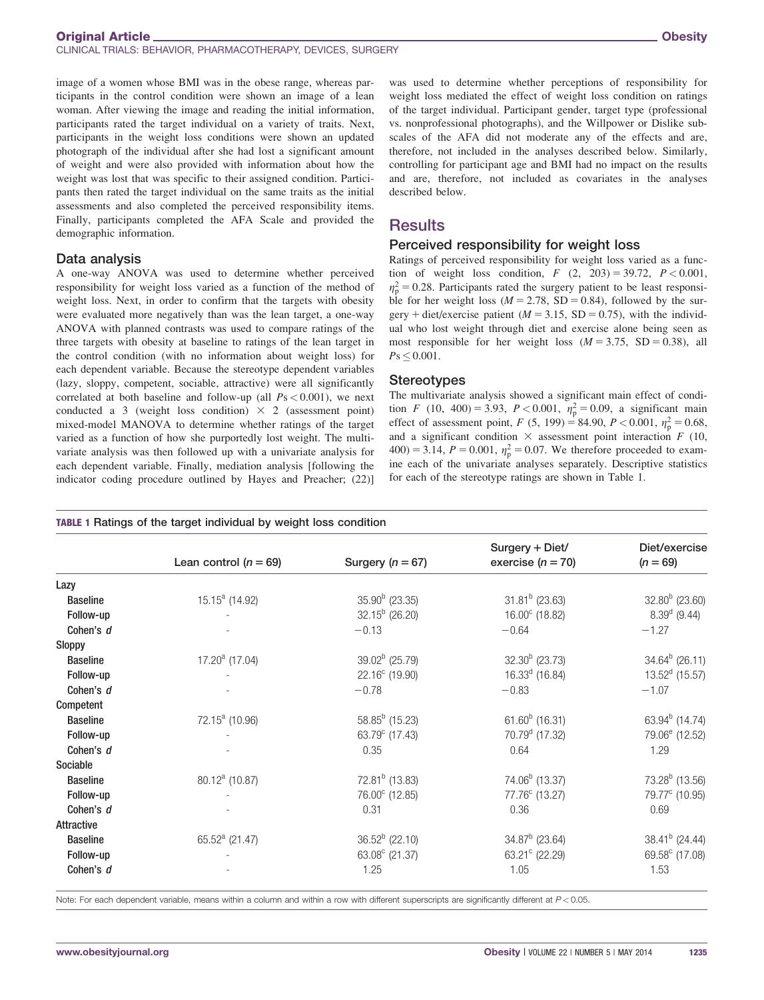image of a women whose BMI was in the obese range, whereas participants in the control condition were shown an image of a lean woman. After viewing the image and reading the initial information, participants rated the target individual on a variety of traits. Next, participants in the weight loss conditions were shown an updated photograph of the individual after she had lost a significant amount of weight and were also provided with information about how the weight was lost that was specific to their assigned condition. Participants then rated the target individual on the same traits as the initial assessments and also completed the perceived responsibility items. Finally, participants completed the AFA Scale and provided the demographic information.

### Data analysis

A one-way ANOVA was used to determine whether perceived responsibility for weight loss varied as a function of the method of weight loss. Next, in order to confirm that the targets with obesity were evaluated more negatively than was the lean target, a one-way ANOVA with planned contrasts was used to compare ratings of the three targets with obesity at baseline to ratings of the lean target in the control condition (with no information about weight loss) for each dependent variable. Because the stereotype dependent variables (lazy, sloppy, competent, sociable, attractive) were all significantly correlated at both baseline and follow-up (all  $Ps < 0.001$ ), we next conducted a 3 (weight loss condition)  $\times$  2 (assessment point) mixed-model MANOVA to determine whether ratings of the target varied as a function of how she purportedly lost weight. The multivariate analysis was then followed up with a univariate analysis for each dependent variable. Finally, mediation analysis [following the indicator coding procedure outlined by Hayes and Preacher; (22)]

was used to determine whether perceptions of responsibility for weight loss mediated the effect of weight loss condition on ratings of the target individual. Participant gender, target type (professional vs. nonprofessional photographs), and the Willpower or Dislike subscales of the AFA did not moderate any of the effects and are, therefore, not included in the analyses described below. Similarly, controlling for participant age and BMI had no impact on the results and are, therefore, not included as covariates in the analyses described below.

# **Results**

### Perceived responsibility for weight loss

Ratings of perceived responsibility for weight loss varied as a function of weight loss condition,  $F(2, 203) = 39.72, P < 0.001$ ,  $\eta_{\rm p}^2$  = 0.28. Participants rated the surgery patient to be least responsible for her weight loss ( $M = 2.78$ , SD = 0.84), followed by the surgery + diet/exercise patient ( $M = 3.15$ , SD = 0.75), with the individual who lost weight through diet and exercise alone being seen as most responsible for her weight loss  $(M = 3.75, SD = 0.38)$ , all  $Ps \leq 0.001$ .

### **Stereotypes**

The multivariate analysis showed a significant main effect of condition F (10, 400) = 3.93, P < 0.001,  $\eta_p^2 = 0.09$ , a significant main effect of assessment point, F (5, 199) = 84.90, P < 0.001,  $\eta_p^2 = 0.68$ , and a significant condition  $\times$  assessment point interaction F (10,  $400$ ) = 3.14,  $P = 0.001$ ,  $\eta_p^2 = 0.07$ . We therefore proceeded to examine each of the univariate analyses separately. Descriptive statistics for each of the stereotype ratings are shown in Table 1.

#### TABLE 1 Ratings of the target individual by weight loss condition

|                 |                            |                          | Surgery + Diet/             | Diet/exercise              |
|-----------------|----------------------------|--------------------------|-----------------------------|----------------------------|
|                 | Lean control $(n = 69)$    | Surgery $(n = 67)$       | exercise $(n = 70)$         | $(n = 69)$                 |
| Lazy            |                            |                          |                             |                            |
| <b>Baseline</b> | $15.15^a$ (14.92)          | $35.90b$ (23.35)         | $31.81b$ (23.63)            | $32.80^b$ (23.60)          |
| Follow-up       |                            | $32.15^b$ (26.20)        | $16.00^{\circ}$ (18.82)     | $8.39d$ (9.44)             |
| Cohen's d       |                            | $-0.13$                  | $-0.64$                     | $-1.27$                    |
| Sloppy          |                            |                          |                             |                            |
| <b>Baseline</b> | $17.20^a$ (17.04)          | $39.02b$ (25.79)         | $32.30b$ (23.73)            | $34.64^b$ (26.11)          |
| Follow-up       |                            | $22.16^{\circ}$ (19.90)  | $16.33d$ (16.84)            | $13.52d$ (15.57)           |
| Cohen's d       |                            | $-0.78$                  | $-0.83$                     | $-1.07$                    |
| Competent       |                            |                          |                             |                            |
| <b>Baseline</b> | $72.15^a$ (10.96)          | $58.85^b$ (15.23)        | 61.60 $^{b}$ (16.31)        | 63.94 $^{b}$ (14.74)       |
| Follow-up       |                            | 63.79 $^{\circ}$ (17.43) | $70.79d$ (17.32)            | 79.06 <sup>e</sup> (12.52) |
| Cohen's d       |                            | 0.35                     | 0.64                        | 1.29                       |
| Sociable        |                            |                          |                             |                            |
| <b>Baseline</b> | 80.12 <sup>a</sup> (10.87) | $72.81b$ (13.83)         | 74.06 <sup>b</sup> (13.37)  | $73.28^b$ (13.56)          |
| Follow-up       |                            | 76.00° (12.85)           | 77.76 <sup>c</sup> (13.27)  | 79.77 <sup>c</sup> (10.95) |
| Cohen's d       |                            | 0.31                     | 0.36                        | 0.69                       |
| Attractive      |                            |                          |                             |                            |
| <b>Baseline</b> | 65.52 $^{a}$ (21.47)       | $36.52^b$ (22.10)        | $34.87b$ (23.64)            | $38.41b$ (24.44)           |
| Follow-up       |                            | 63.08 $^{\circ}$ (21.37) | 63.21 $\textdegree$ (22.29) | 69.58° (17.08)             |
| Cohen's d       |                            | 1.25                     | 1.05                        | 1.53                       |
|                 |                            |                          |                             |                            |

Note: For each dependent variable, means within a column and within a row with different superscripts are significantly different at P < 0.05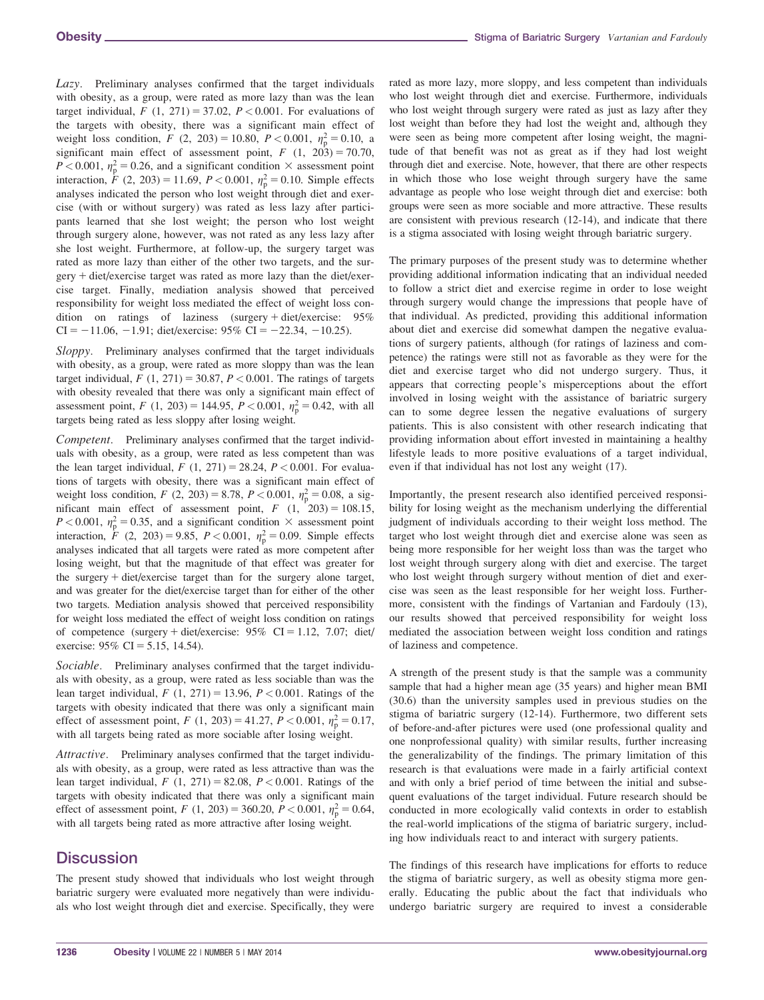Lazy. Preliminary analyses confirmed that the target individuals with obesity, as a group, were rated as more lazy than was the lean target individual,  $F(1, 271) = 37.02$ ,  $P < 0.001$ . For evaluations of the targets with obesity, there was a significant main effect of weight loss condition,  $F(2, 203) = 10.80, P < 0.001, \eta_{\rm p}^2 = 0.10,$  a significant main effect of assessment point,  $F(1, 203) = 70.70$ ,  $P < 0.001$ ,  $\eta_{\rm p}^2 = 0.26$ , and a significant condition  $\times$  assessment point interaction,  $\dot{F}$  (2, 203) = 11.69,  $P < 0.001$ ,  $\eta_{\rm p}^2 = 0.10$ . Simple effects analyses indicated the person who lost weight through diet and exercise (with or without surgery) was rated as less lazy after participants learned that she lost weight; the person who lost weight through surgery alone, however, was not rated as any less lazy after she lost weight. Furthermore, at follow-up, the surgery target was rated as more lazy than either of the other two targets, and the sur $gery + diet/exercise target was rated as more lazy than the diet/exer- $\frac{f}{f}$$ cise target. Finally, mediation analysis showed that perceived responsibility for weight loss mediated the effect of weight loss condition on ratings of laziness (surgery + diet/exercise:  $95\%$  $CI = -11.06, -1.91;$  diet/exercise: 95% CI = -22.34, -10.25).

Sloppy. Preliminary analyses confirmed that the target individuals with obesity, as a group, were rated as more sloppy than was the lean target individual,  $F(1, 271) = 30.87, P < 0.001$ . The ratings of targets with obesity revealed that there was only a significant main effect of assessment point, F (1, 203) = 144.95, P < 0.001,  $\eta_p^2 = 0.42$ , with all targets being rated as less sloppy after losing weight.

Competent. Preliminary analyses confirmed that the target individuals with obesity, as a group, were rated as less competent than was the lean target individual,  $F(1, 271) = 28.24, P < 0.001$ . For evaluations of targets with obesity, there was a significant main effect of weight loss condition,  $F(2, 203) = 8.78$ ,  $P < 0.001$ ,  $\eta_p^2 = 0.08$ , a significant main effect of assessment point,  $F(1, 203) = 108.15$ ,  $P < 0.001$ ,  $\eta_{\rm p}^2 = 0.35$ , and a significant condition  $\times$  assessment point interaction,  $\dot{F}$  (2, 203) = 9.85,  $P < 0.001$ ,  $\eta_{\rm p}^2 = 0.09$ . Simple effects analyses indicated that all targets were rated as more competent after losing weight, but that the magnitude of that effect was greater for the surgery  $+$  diet/exercise target than for the surgery alone target, and was greater for the diet/exercise target than for either of the other two targets. Mediation analysis showed that perceived responsibility for weight loss mediated the effect of weight loss condition on ratings of competence (surgery + diet/exercise:  $95\%$  CI = 1.12, 7.07; diet/ exercise:  $95\%$  CI = 5.15, 14.54).

Sociable. Preliminary analyses confirmed that the target individuals with obesity, as a group, were rated as less sociable than was the lean target individual,  $F(1, 271) = 13.96$ ,  $P < 0.001$ . Ratings of the targets with obesity indicated that there was only a significant main effect of assessment point,  $F(1, 203) = 41.27, P < 0.001, \eta_{\rm p}^2 = 0.17$ , with all targets being rated as more sociable after losing weight.

Attractive. Preliminary analyses confirmed that the target individuals with obesity, as a group, were rated as less attractive than was the lean target individual,  $F(1, 271) = 82.08$ ,  $P < 0.001$ . Ratings of the targets with obesity indicated that there was only a significant main effect of assessment point,  $F(1, 203) = 360.20, P < 0.001, \eta_{\rm p}^2 = 0.64,$ with all targets being rated as more attractive after losing weight.

# **Discussion**

The present study showed that individuals who lost weight through bariatric surgery were evaluated more negatively than were individuals who lost weight through diet and exercise. Specifically, they were rated as more lazy, more sloppy, and less competent than individuals who lost weight through diet and exercise. Furthermore, individuals who lost weight through surgery were rated as just as lazy after they lost weight than before they had lost the weight and, although they were seen as being more competent after losing weight, the magnitude of that benefit was not as great as if they had lost weight through diet and exercise. Note, however, that there are other respects in which those who lose weight through surgery have the same advantage as people who lose weight through diet and exercise: both groups were seen as more sociable and more attractive. These results are consistent with previous research (12-14), and indicate that there is a stigma associated with losing weight through bariatric surgery.

The primary purposes of the present study was to determine whether providing additional information indicating that an individual needed to follow a strict diet and exercise regime in order to lose weight through surgery would change the impressions that people have of that individual. As predicted, providing this additional information about diet and exercise did somewhat dampen the negative evaluations of surgery patients, although (for ratings of laziness and competence) the ratings were still not as favorable as they were for the diet and exercise target who did not undergo surgery. Thus, it appears that correcting people's misperceptions about the effort involved in losing weight with the assistance of bariatric surgery can to some degree lessen the negative evaluations of surgery patients. This is also consistent with other research indicating that providing information about effort invested in maintaining a healthy lifestyle leads to more positive evaluations of a target individual, even if that individual has not lost any weight (17).

Importantly, the present research also identified perceived responsibility for losing weight as the mechanism underlying the differential judgment of individuals according to their weight loss method. The target who lost weight through diet and exercise alone was seen as being more responsible for her weight loss than was the target who lost weight through surgery along with diet and exercise. The target who lost weight through surgery without mention of diet and exercise was seen as the least responsible for her weight loss. Furthermore, consistent with the findings of Vartanian and Fardouly (13), our results showed that perceived responsibility for weight loss mediated the association between weight loss condition and ratings of laziness and competence.

A strength of the present study is that the sample was a community sample that had a higher mean age (35 years) and higher mean BMI (30.6) than the university samples used in previous studies on the stigma of bariatric surgery (12-14). Furthermore, two different sets of before-and-after pictures were used (one professional quality and one nonprofessional quality) with similar results, further increasing the generalizability of the findings. The primary limitation of this research is that evaluations were made in a fairly artificial context and with only a brief period of time between the initial and subsequent evaluations of the target individual. Future research should be conducted in more ecologically valid contexts in order to establish the real-world implications of the stigma of bariatric surgery, including how individuals react to and interact with surgery patients.

The findings of this research have implications for efforts to reduce the stigma of bariatric surgery, as well as obesity stigma more generally. Educating the public about the fact that individuals who undergo bariatric surgery are required to invest a considerable